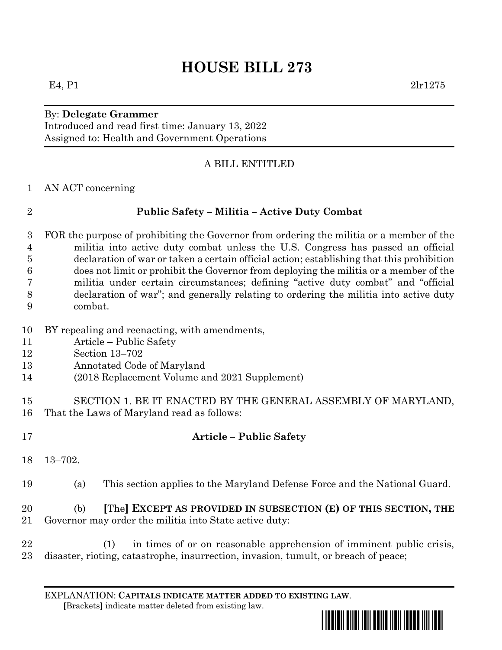# **HOUSE BILL 273**

## By: **Delegate Grammer**

Introduced and read first time: January 13, 2022 Assigned to: Health and Government Operations

#### A BILL ENTITLED

AN ACT concerning

#### **Public Safety – Militia – Active Duty Combat**

- FOR the purpose of prohibiting the Governor from ordering the militia or a member of the militia into active duty combat unless the U.S. Congress has passed an official declaration of war or taken a certain official action; establishing that this prohibition does not limit or prohibit the Governor from deploying the militia or a member of the militia under certain circumstances; defining "active duty combat" and "official declaration of war"; and generally relating to ordering the militia into active duty combat.
- BY repealing and reenacting, with amendments,
- Article Public Safety
- Section 13–702
- Annotated Code of Maryland
- (2018 Replacement Volume and 2021 Supplement)
- SECTION 1. BE IT ENACTED BY THE GENERAL ASSEMBLY OF MARYLAND, That the Laws of Maryland read as follows:
- 

### **Article – Public Safety**

- 13–702.
- (a) This section applies to the Maryland Defense Force and the National Guard.

#### (b) **[**The**] EXCEPT AS PROVIDED IN SUBSECTION (E) OF THIS SECTION, THE** Governor may order the militia into State active duty:

 (1) in times of or on reasonable apprehension of imminent public crisis, disaster, rioting, catastrophe, insurrection, invasion, tumult, or breach of peace;



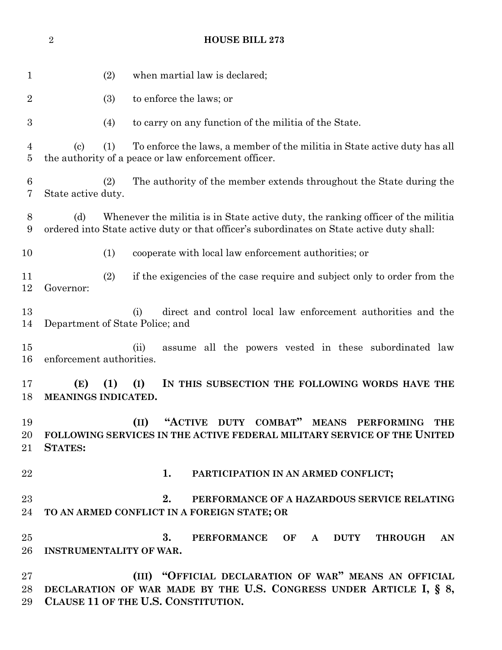|                | $\overline{2}$             | <b>HOUSE BILL 273</b>                                                                                                                                                         |
|----------------|----------------------------|-------------------------------------------------------------------------------------------------------------------------------------------------------------------------------|
| $\mathbf 1$    |                            | (2)<br>when martial law is declared;                                                                                                                                          |
| $\overline{2}$ |                            | (3)<br>to enforce the laws; or                                                                                                                                                |
| 3              |                            | (4)<br>to carry on any function of the militia of the State.                                                                                                                  |
| 4<br>5         | $\left( \mathrm{c}\right)$ | (1)<br>To enforce the laws, a member of the militia in State active duty has all<br>the authority of a peace or law enforcement officer.                                      |
| 6<br>7         | State active duty.         | The authority of the member extends throughout the State during the<br>(2)                                                                                                    |
| 8<br>9         | (d)                        | Whenever the militia is in State active duty, the ranking officer of the militia<br>ordered into State active duty or that officer's subordinates on State active duty shall: |
| 10             |                            | cooperate with local law enforcement authorities; or<br>(1)                                                                                                                   |
| 11<br>12       | Governor:                  | (2)<br>if the exigencies of the case require and subject only to order from the                                                                                               |
| 13<br>14       |                            | direct and control local law enforcement authorities and the<br>(i)<br>Department of State Police; and                                                                        |
| 15<br>16       |                            | (ii)<br>assume all the powers vested in these subordinated law<br>enforcement authorities.                                                                                    |
| 17<br>18       | (E)                        | (1)<br>(I)<br>IN THIS SUBSECTION THE FOLLOWING WORDS HAVE THE<br>MEANINGS INDICATED.                                                                                          |
| 19<br>20<br>21 | <b>STATES:</b>             | "ACTIVE DUTY COMBAT" MEANS PERFORMING<br>(II)<br><b>THE</b><br>FOLLOWING SERVICES IN THE ACTIVE FEDERAL MILITARY SERVICE OF THE UNITED                                        |
| 22             |                            | 1.<br>PARTICIPATION IN AN ARMED CONFLICT;                                                                                                                                     |
| 23<br>24       |                            | 2.<br>PERFORMANCE OF A HAZARDOUS SERVICE RELATING<br>TO AN ARMED CONFLICT IN A FOREIGN STATE; OR                                                                              |
| 25<br>26       |                            | 3.<br>PERFORMANCE OF A<br><b>DUTY</b><br><b>THROUGH</b><br>AN<br><b>INSTRUMENTALITY OF WAR.</b>                                                                               |
| 27<br>28<br>29 |                            | (III) "OFFICIAL DECLARATION OF WAR" MEANS AN OFFICIAL<br>DECLARATION OF WAR MADE BY THE U.S. CONGRESS UNDER ARTICLE I, § 8,<br>CLAUSE 11 OF THE U.S. CONSTITUTION.            |